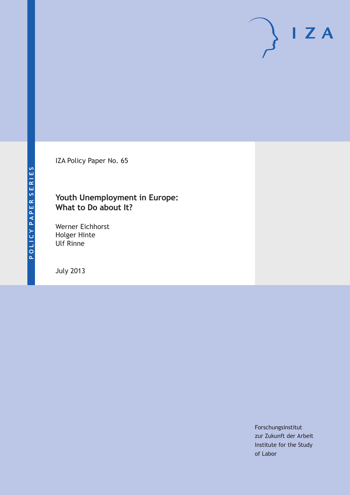IZA Policy Paper No. 65

### **Youth Unemployment in Europe: What to Do about It?**

Werner Eichhorst Holger Hinte Ulf Rinne

July 2013

Forschungsinstitut zur Zukunft der Arbeit Institute for the Study of Labor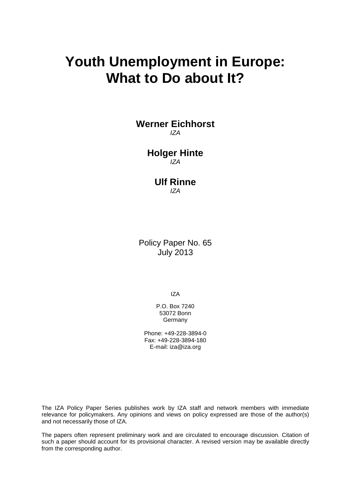## **Youth Unemployment in Europe: What to Do about It?**

**Werner Eichhorst** *IZA*

#### **Holger Hinte** *IZA*

#### **Ulf Rinne** *IZA*

Policy Paper No. 65 July 2013

IZA

P.O. Box 7240 53072 Bonn **Germany** 

Phone: +49-228-3894-0 Fax: +49-228-3894-180 E-mail: [iza@iza.org](mailto:iza@iza.org)

The IZA Policy Paper Series publishes work by IZA staff and network members with immediate relevance for policymakers. Any opinions and views on policy expressed are those of the author(s) and not necessarily those of IZA.

The papers often represent preliminary work and are circulated to encourage discussion. Citation of such a paper should account for its provisional character. A revised version may be available directly from the corresponding author.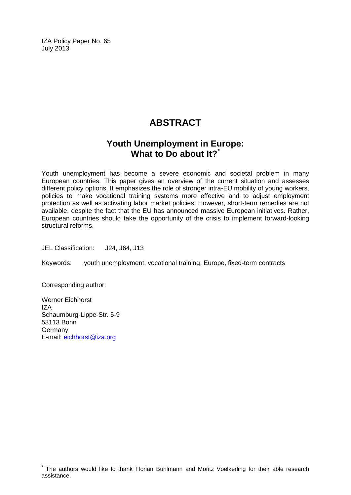IZA Policy Paper No. 65 July 2013

### **ABSTRACT**

### **Youth Unemployment in Europe: What to Do about It?[\\*](#page-2-0)**

Youth unemployment has become a severe economic and societal problem in many European countries. This paper gives an overview of the current situation and assesses different policy options. It emphasizes the role of stronger intra-EU mobility of young workers, policies to make vocational training systems more effective and to adjust employment protection as well as activating labor market policies. However, short-term remedies are not available, despite the fact that the EU has announced massive European initiatives. Rather, European countries should take the opportunity of the crisis to implement forward-looking structural reforms.

JEL Classification: J24, J64, J13

Keywords: youth unemployment, vocational training, Europe, fixed-term contracts

Corresponding author:

Werner Eichhorst IZA Schaumburg-Lippe-Str. 5-9 53113 Bonn Germany E-mail: [eichhorst@iza.org](mailto:eichhorst@iza.org)

<span id="page-2-0"></span>**\*** The authors would like to thank Florian Buhlmann and Moritz Voelkerling for their able research assistance.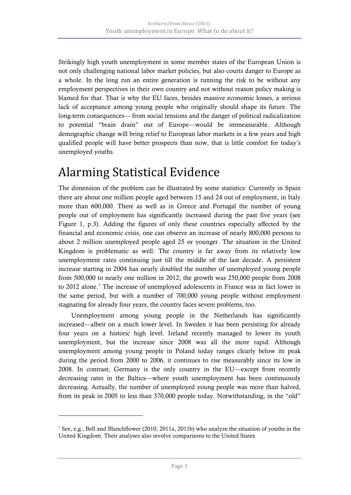Strikingly high youth unemployment in some member states of the European Union is not only challenging national labor market policies, but also courts danger to Europe as a whole. In the long run an entire generation is running the risk to be without any employment perspectives in their own country and not without reason policy making is blamed for that. That is why the EU faces, besides massive economic losses, a serious lack of acceptance among young people who originally should shape its future. The long-term consequences— from social tensions and the danger of political radicalization to potential "brain drain" out of Europe—would be immeasurable. Although demographic change will bring relief to European labor markets in a few years and high qualified people will have better prospects than now, that is little comfort for today's unemployed youths.

## Alarming Statistical Evidence

The dimension of the problem can be illustrated by some statistics: Currently in Spain there are about one million people aged between 15 and 24 out of employment, in Italy more than 600,000. There as well as in Greece and Portugal the number of young people out of employment has significantly increased during the past five years (see Figure 1, p.3). Adding the figures of only these countries especially affected by the financial and economic crisis, one can observe an increase of nearly 800,000 persons to about 2 million unemployed people aged 25 or younger. The situation in the United Kingdom is problematic as well: The country is far away from its relatively low unemployment rates continuing just till the middle of the last decade. A persistent increase starting in 2004 has nearly doubled the number of unemployed young people from 500,000 to nearly one million in 2012; the growth was 250,000 people from 2008 to 20[1](#page--1-0)2 alone.<sup>1</sup> The increase of unemployed adolescents in France was in fact lower in the same period, but with a number of 700,000 young people without employment stagnating for already four years, the country faces severe problems, too.

Unemployment among young people in the Netherlands has significantly increased—albeit on a much lower level. In Sweden it has been persisting for already four years on a historic high level. Ireland recently managed to lower its youth unemployment, but the increase since 2008 was all the more rapid. Although unemployment among young people in Poland today ranges clearly below its peak during the period from 2000 to 2006, it continues to rise measurably since its low in 2008. In contrast, Germany is the only country in the EU—except from recently decreasing rates in the Baltics—where youth unemployment has been continuously decreasing. Actually, the number of unemployed young people was more than halved, from its peak in 2005 to less than 370,000 people today. Notwithstanding, in the "old"

<span id="page-3-0"></span><sup>1</sup> See, e.g., Bell and Blanchflower (2010, 2011a, 2011b) who analyze the situation of youths in the United Kingdom. Their analyses also involve comparisons to the United States.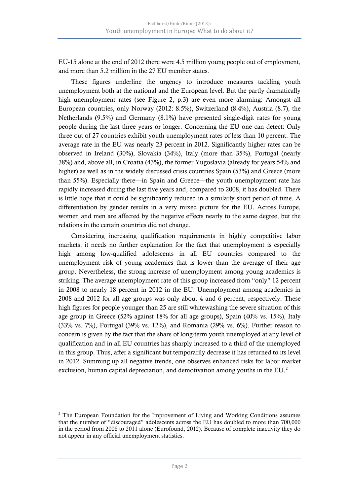EU-15 alone at the end of 2012 there were 4.5 million young people out of employment, and more than 5.2 million in the 27 EU member states.

These figures underline the urgency to introduce measures tackling youth unemployment both at the national and the European level. But the partly dramatically high unemployment rates (see Figure 2, p.3) are even more alarming: Amongst all European countries, only Norway (2012: 8.5%), Switzerland (8.4%), Austria (8.7), the Netherlands (9.5%) and Germany (8.1%) have presented single-digit rates for young people during the last three years or longer. Concerning the EU one can detect: Only three out of 27 countries exhibit youth unemployment rates of less than 10 percent. The average rate in the EU was nearly 23 percent in 2012. Significantly higher rates can be observed in Ireland (30%), Slovakia (34%), Italy (more than 35%), Portugal (nearly 38%) and, above all, in Croatia (43%), the former Yugoslavia (already for years 54% and higher) as well as in the widely discussed crisis countries Spain (53%) and Greece (more than 55%). Especially there—in Spain and Greece—the youth unemployment rate has rapidly increased during the last five years and, compared to 2008, it has doubled. There is little hope that it could be significantly reduced in a similarly short period of time. A differentiation by gender results in a very mixed picture for the EU. Across Europe, women and men are affected by the negative effects nearly to the same degree, but the relations in the certain countries did not change.

Considering increasing qualification requirements in highly competitive labor markets, it needs no further explanation for the fact that unemployment is especially high among low-qualified adolescents in all EU countries compared to the unemployment risk of young academics that is lower than the average of their age group. Nevertheless, the strong increase of unemployment among young academics is striking. The average unemployment rate of this group increased from "only" 12 percent in 2008 to nearly 18 percent in 2012 in the EU. Unemployment among academics in 2008 and 2012 for all age groups was only about 4 and 6 percent, respectively. These high figures for people younger than 25 are still whitewashing the severe situation of this age group in Greece (52% against 18% for all age groups), Spain (40% vs. 15%), Italy (33% vs. 7%), Portugal (39% vs. 12%), and Romania (29% vs. 6%). Further reason to concern is given by the fact that the share of long-term youth unemployed at any level of qualification and in all EU countries has sharply increased to a third of the unemployed in this group. Thus, after a significant but temporarily decrease it has returned to its level in 2012. Summing up all negative trends, one observes enhanced risks for labor market exclusion, human capital depreciation, and demotivation among youths in the  $EU^2$  $EU^2$ .

<span id="page-4-0"></span> $2$ <sup>2</sup> The European Foundation for the Improvement of Living and Working Conditions assumes that the number of "discouraged" adolescents across the EU has doubled to more than 700,000 in the period from 2008 to 2011 alone (Eurofound, 2012). Because of complete inactivity they do not appear in any official unemployment statistics.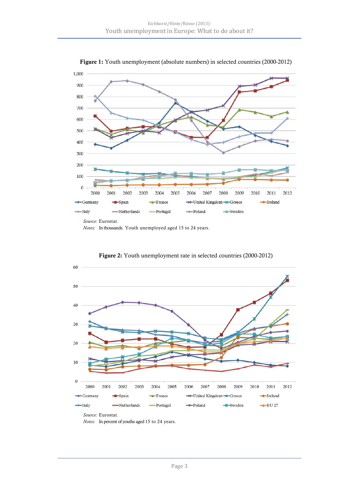

Figure 1: Youth unemployment (absolute numbers) in selected countries (2000-2012)

*Notes:* In thousands. Youth unemployed aged 15 to 24 years.



Figure 2: Youth unemployment rate in selected countries (2000-2012)

*Source:* Eurostat.

*Notes:* In percent of youths aged 15 to 24 years.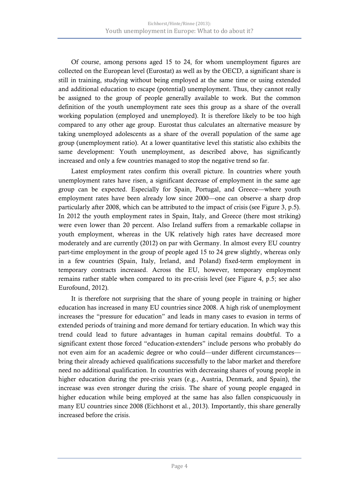Of course, among persons aged 15 to 24, for whom unemployment figures are collected on the European level (Eurostat) as well as by the OECD, a significant share is still in training, studying without being employed at the same time or using extended and additional education to escape (potential) unemployment. Thus, they cannot really be assigned to the group of people generally available to work. But the common definition of the youth unemployment rate sees this group as a share of the overall working population (employed and unemployed). It is therefore likely to be too high compared to any other age group. Eurostat thus calculates an alternative measure by taking unemployed adolescents as a share of the overall population of the same age group (unemployment ratio). At a lower quantitative level this statistic also exhibits the same development: Youth unemployment, as described above, has significantly increased and only a few countries managed to stop the negative trend so far.

Latest employment rates confirm this overall picture. In countries where youth unemployment rates have risen, a significant decrease of employment in the same age group can be expected. Especially for Spain, Portugal, and Greece—where youth employment rates have been already low since 2000—one can observe a sharp drop particularly after 2008, which can be attributed to the impact of crisis (see Figure 3, p.5). In 2012 the youth employment rates in Spain, Italy, and Greece (there most striking) were even lower than 20 percent. Also Ireland suffers from a remarkable collapse in youth employment, whereas in the UK relatively high rates have decreased more moderately and are currently (2012) on par with Germany. In almost every EU country part-time employment in the group of people aged 15 to 24 grew slightly, whereas only in a few countries (Spain, Italy, Ireland, and Poland) fixed-term employment in temporary contracts increased. Across the EU, however, temporary employment remains rather stable when compared to its pre-crisis level (see Figure 4, p.5; see also Eurofound, 2012).

It is therefore not surprising that the share of young people in training or higher education has increased in many EU countries since 2008. A high risk of unemployment increases the "pressure for education" and leads in many cases to evasion in terms of extended periods of training and more demand for tertiary education. In which way this trend could lead to future advantages in human capital remains doubtful. To a significant extent those forced "education-extenders" include persons who probably do not even aim for an academic degree or who could—under different circumstances bring their already achieved qualifications successfully to the labor market and therefore need no additional qualification. In countries with decreasing shares of young people in higher education during the pre-crisis years (e.g., Austria, Denmark, and Spain), the increase was even stronger during the crisis. The share of young people engaged in higher education while being employed at the same has also fallen conspicuously in many EU countries since 2008 (Eichhorst et al., 2013). Importantly, this share generally increased before the crisis.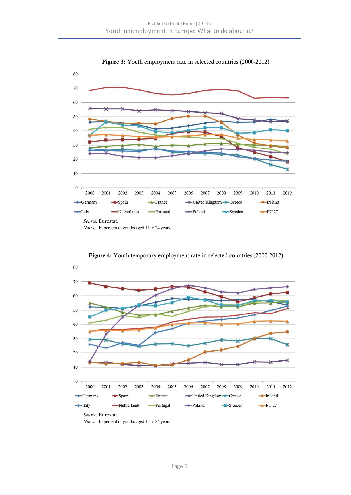

Figure 3: Youth employment rate in selected countries (2000-2012)



Figure 4: Youth temporary employment rate in selected countries (2000-2012)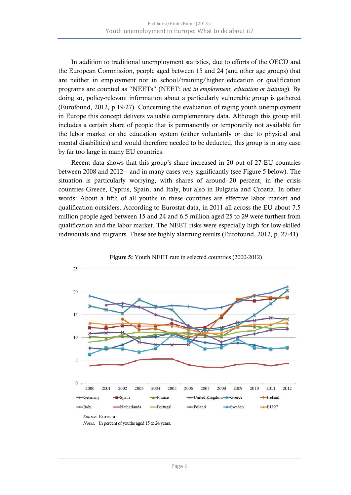In addition to traditional unemployment statistics, due to efforts of the OECD and the European Commission, people aged between 15 and 24 (and other age groups) that are neither in employment nor in school/training/higher education or qualification programs are counted as "NEETs" (NEET: *not in employment, education or training*). By doing so, policy-relevant information about a particularly vulnerable group is gathered (Eurofound, 2012, p.19-27). Concerning the evaluation of raging youth unemployment in Europe this concept delivers valuable complementary data. Although this group still includes a certain share of people that is permanently or temporarily not available for the labor market or the education system (either voluntarily or due to physical and mental disabilities) and would therefore needed to be deducted, this group is in any case by far too large in many EU countries.

Recent data shows that this group's share increased in 20 out of 27 EU countries between 2008 and 2012—and in many cases very significantly (see Figure 5 below). The situation is particularly worrying, with shares of around 20 percent, in the crisis countries Greece, Cyprus, Spain, and Italy, but also in Bulgaria and Croatia. In other words: About a fifth of all youths in these countries are effective labor market and qualification outsiders. According to Eurostat data, in 2011 all across the EU about 7.5 million people aged between 15 and 24 and 6.5 million aged 25 to 29 were furthest from qualification and the labor market. The NEET risks were especially high for low-skilled individuals and migrants. These are highly alarming results (Eurofound, 2012, p. 27-41).



Figure 5: Youth NEET rate in selected countries (2000-2012)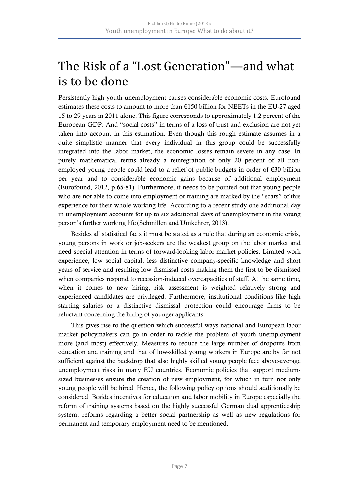## The Risk of a "Lost Generation"—and what is to be done

Persistently high youth unemployment causes considerable economic costs. Eurofound estimates these costs to amount to more than €150 billion for NEETs in the EU-27 aged 15 to 29 years in 2011 alone. This figure corresponds to approximately 1.2 percent of the European GDP. And "social costs" in terms of a loss of trust and exclusion are not yet taken into account in this estimation. Even though this rough estimate assumes in a quite simplistic manner that every individual in this group could be successfully integrated into the labor market, the economic losses remain severe in any case. In purely mathematical terms already a reintegration of only 20 percent of all nonemployed young people could lead to a relief of public budgets in order of  $\epsilon$ 30 billion per year and to considerable economic gains because of additional employment (Eurofound, 2012, p.65-81). Furthermore, it needs to be pointed out that young people who are not able to come into employment or training are marked by the "scars" of this experience for their whole working life. According to a recent study one additional day in unemployment accounts for up to six additional days of unemployment in the young person's further working life (Schmillen and Umkehrer, 2013).

Besides all statistical facts it must be stated as a rule that during an economic crisis, young persons in work or job-seekers are the weakest group on the labor market and need special attention in terms of forward-looking labor market policies. Limited work experience, low social capital, less distinctive company-specific knowledge and short years of service and resulting low dismissal costs making them the first to be dismissed when companies respond to recession-induced overcapacities of staff. At the same time, when it comes to new hiring, risk assessment is weighted relatively strong and experienced candidates are privileged. Furthermore, institutional conditions like high starting salaries or a distinctive dismissal protection could encourage firms to be reluctant concerning the hiring of younger applicants.

This gives rise to the question which successful ways national and European labor market policymakers can go in order to tackle the problem of youth unemployment more (and most) effectively. Measures to reduce the large number of dropouts from education and training and that of low-skilled young workers in Europe are by far not sufficient against the backdrop that also highly skilled young people face above-average unemployment risks in many EU countries. Economic policies that support mediumsized businesses ensure the creation of new employment, for which in turn not only young people will be hired. Hence, the following policy options should additionally be considered: Besides incentives for education and labor mobility in Europe especially the reform of training systems based on the highly successful German dual apprenticeship system, reforms regarding a better social partnership as well as new regulations for permanent and temporary employment need to be mentioned.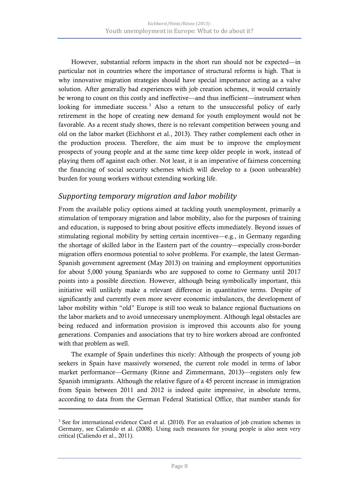However, substantial reform impacts in the short run should not be expected—in particular not in countries where the importance of structural reforms is high. That is why innovative migration strategies should have special importance acting as a valve solution. After generally bad experiences with job creation schemes, it would certainly be wrong to count on this costly and ineffective—and thus inefficient—instrument when looking for immediate success.<sup>[3](#page-4-0)</sup> Also a return to the unsuccessful policy of early retirement in the hope of creating new demand for youth employment would not be favorable. As a recent study shows, there is no relevant competition between young and old on the labor market (Eichhorst et al., 2013). They rather complement each other in the production process. Therefore, the aim must be to improve the employment prospects of young people and at the same time keep older people in work, instead of playing them off against each other. Not least, it is an imperative of fairness concerning the financing of social security schemes which will develop to a (soon unbearable) burden for young workers without extending working life.

### *Supporting temporary migration and labor mobility*

From the available policy options aimed at tackling youth unemployment, primarily a stimulation of temporary migration and labor mobility, also for the purposes of training and education, is supposed to bring about positive effects immediately. Beyond issues of stimulating regional mobility by setting certain incentives—e.g., in Germany regarding the shortage of skilled labor in the Eastern part of the country—especially cross-border migration offers enormous potential to solve problems. For example, the latest German-Spanish government agreement (May 2013) on training and employment opportunities for about 5,000 young Spaniards who are supposed to come to Germany until 2017 points into a possible direction. However, although being symbolically important, this initiative will unlikely make a relevant difference in quantitative terms. Despite of significantly and currently even more severe economic imbalances, the development of labor mobility within "old" Europe is still too weak to balance regional fluctuations on the labor markets and to avoid unnecessary unemployment. Although legal obstacles are being reduced and information provision is improved this accounts also for young generations. Companies and associations that try to hire workers abroad are confronted with that problem as well.

The example of Spain underlines this nicely: Although the prospects of young job seekers in Spain have massively worsened, the current role model in terms of labor market performance—Germany (Rinne and Zimmermann, 2013)—registers only few Spanish immigrants. Although the relative figure of a 45 percent increase in immigration from Spain between 2011 and 2012 is indeed quite impressive, in absolute terms, according to data from the German Federal Statistical Office, that number stands for

<span id="page-10-0"></span> $3$  See for international evidence Card et al. (2010). For an evaluation of job creation schemes in Germany, see Caliendo et al. (2008). Using such measures for young people is also seen very critical (Caliendo et al., 2011).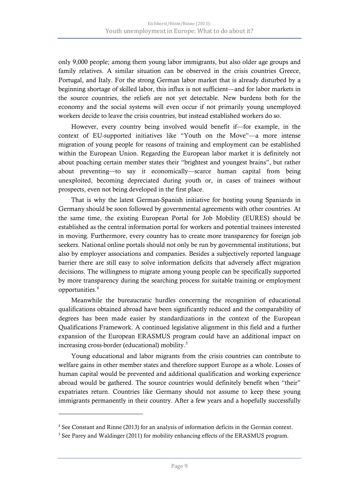only 9,000 people; among them young labor immigrants, but also older age groups and family relatives. A similar situation can be observed in the crisis countries Greece, Portugal, and Italy. For the strong German labor market that is already disturbed by a beginning shortage of skilled labor, this influx is not sufficient—and for labor markets in the source countries, the reliefs are not yet detectable. New burdens both for the economy and the social systems will even occur if not primarily young unemployed workers decide to leave the crisis countries, but instead established workers do so.

However, every country being involved would benefit if—for example, in the context of EU-supported initiatives like "Youth on the Move"—a more intense migration of young people for reasons of training and employment can be established within the European Union. Regarding the European labor market it is definitely not about poaching certain member states their "brightest and youngest brains", but rather about preventing—to say it economically—scarce human capital from being unexploited, becoming depreciated during youth or, in cases of trainees without prospects, even not being developed in the first place.

That is why the latest German-Spanish initiative for hosting young Spaniards in Germany should be soon followed by governmental agreements with other countries. At the same time, the existing European Portal for Job Mobility (EURES) should be established as the central information portal for workers and potential trainees interested in moving. Furthermore, every country has to create more transparency for foreign job seekers. National online portals should not only be run by governmental institutions, but also by employer associations and companies. Besides a subjectively reported language barrier there are still easy to solve information deficits that adversely affect migration decisions. The willingness to migrate among young people can be specifically supported by more transparency during the searching process for suitable training or employment opportunities.[4](#page-10-0)

Meanwhile the bureaucratic hurdles concerning the recognition of educational qualifications obtained abroad have been significantly reduced and the comparability of degrees has been made easier by standardizations in the context of the European Qualifications Framework. A continued legislative alignment in this field and a further expansion of the European ERASMUS program could have an additional impact on increasing cross-border (educational) mobility.<sup>5</sup>

Young educational and labor migrants from the crisis countries can contribute to welfare gains in other member states and therefore support Europe as a whole. Losses of human capital would be prevented and additional qualification and working experience abroad would be gathered. The source countries would definitely benefit when "their" expatriates return. Countries like Germany should not assume to keep these young immigrants permanently in their country. After a few years and a hopefully successfully

<sup>4</sup> See Constant and Rinne (2013) for an analysis of information deficits in the German context.

<span id="page-11-0"></span><sup>&</sup>lt;sup>5</sup> See Parey and Waldinger (2011) for mobility enhancing effects of the ERASMUS program.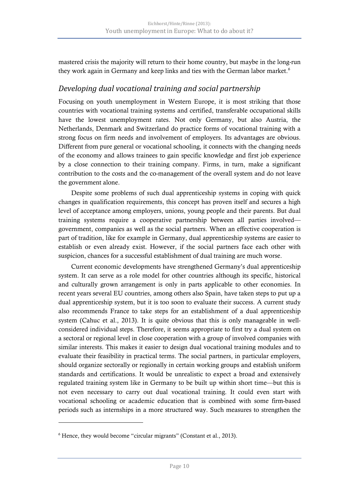mastered crisis the majority will return to their home country, but maybe in the long-run they work again in Germany and keep links and ties with the German labor market.<sup>[6](#page-11-0)</sup>

### *Developing dual vocational training and social partnership*

Focusing on youth unemployment in Western Europe, it is most striking that those countries with vocational training systems and certified, transferable occupational skills have the lowest unemployment rates. Not only Germany, but also Austria, the Netherlands, Denmark and Switzerland do practice forms of vocational training with a strong focus on firm needs and involvement of employers. Its advantages are obvious. Different from pure general or vocational schooling, it connects with the changing needs of the economy and allows trainees to gain specific knowledge and first job experience by a close connection to their training company. Firms, in turn, make a significant contribution to the costs and the co-management of the overall system and do not leave the government alone.

Despite some problems of such dual apprenticeship systems in coping with quick changes in qualification requirements, this concept has proven itself and secures a high level of acceptance among employers, unions, young people and their parents. But dual training systems require a cooperative partnership between all parties involved government, companies as well as the social partners. When an effective cooperation is part of tradition, like for example in Germany, dual apprenticeship systems are easier to establish or even already exist. However, if the social partners face each other with suspicion, chances for a successful establishment of dual training are much worse.

Current economic developments have strengthened Germany's dual apprenticeship system. It can serve as a role model for other countries although its specific, historical and culturally grown arrangement is only in parts applicable to other economies. In recent years several EU countries, among others also Spain, have taken steps to put up a dual apprenticeship system, but it is too soon to evaluate their success. A current study also recommends France to take steps for an establishment of a dual apprenticeship system (Cahuc et al., 2013). It is quite obvious that this is only manageable in wellconsidered individual steps. Therefore, it seems appropriate to first try a dual system on a sectoral or regional level in close cooperation with a group of involved companies with similar interests. This makes it easier to design dual vocational training modules and to evaluate their feasibility in practical terms. The social partners, in particular employers, should organize sectorally or regionally in certain working groups and establish uniform standards and certifications. It would be unrealistic to expect a broad and extensively regulated training system like in Germany to be built up within short time—but this is not even necessary to carry out dual vocational training. It could even start with vocational schooling or academic education that is combined with some firm-based periods such as internships in a more structured way. Such measures to strengthen the

<span id="page-12-0"></span><sup>6</sup> Hence, they would become "circular migrants" (Constant et al., 2013).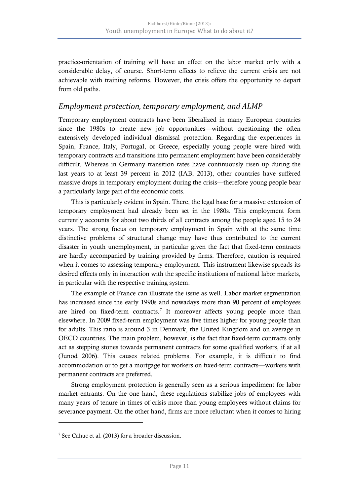practice-orientation of training will have an effect on the labor market only with a considerable delay, of course. Short-term effects to relieve the current crisis are not achievable with training reforms. However, the crisis offers the opportunity to depart from old paths.

#### *Employment protection, temporary employment, and ALMP*

Temporary employment contracts have been liberalized in many European countries since the 1980s to create new job opportunities—without questioning the often extensively developed individual dismissal protection. Regarding the experiences in Spain, France, Italy, Portugal, or Greece, especially young people were hired with temporary contracts and transitions into permanent employment have been considerably difficult. Whereas in Germany transition rates have continuously risen up during the last years to at least 39 percent in 2012 (IAB, 2013), other countries have suffered massive drops in temporary employment during the crisis—therefore young people bear a particularly large part of the economic costs.

This is particularly evident in Spain. There, the legal base for a massive extension of temporary employment had already been set in the 1980s. This employment form currently accounts for about two thirds of all contracts among the people aged 15 to 24 years. The strong focus on temporary employment in Spain with at the same time distinctive problems of structural change may have thus contributed to the current disaster in youth unemployment, in particular given the fact that fixed-term contracts are hardly accompanied by training provided by firms. Therefore, caution is required when it comes to assessing temporary employment. This instrument likewise spreads its desired effects only in interaction with the specific institutions of national labor markets, in particular with the respective training system.

The example of France can illustrate the issue as well. Labor market segmentation has increased since the early 1990s and nowadays more than 90 percent of employees are hired on fixed-term contracts.<sup>[7](#page-12-0)</sup> It moreover affects young people more than elsewhere. In 2009 fixed-term employment was five times higher for young people than for adults. This ratio is around 3 in Denmark, the United Kingdom and on average in OECD countries. The main problem, however, is the fact that fixed-term contracts only act as stepping stones towards permanent contracts for some qualified workers, if at all (Junod 2006). This causes related problems. For example, it is difficult to find accommodation or to get a mortgage for workers on fixed-term contracts—workers with permanent contracts are preferred.

Strong employment protection is generally seen as a serious impediment for labor market entrants. On the one hand, these regulations stabilize jobs of employees with many years of tenure in times of crisis more than young employees without claims for severance payment. On the other hand, firms are more reluctant when it comes to hiring

<span id="page-13-0"></span><sup>7</sup> See Cahuc et al. (2013) for a broader discussion.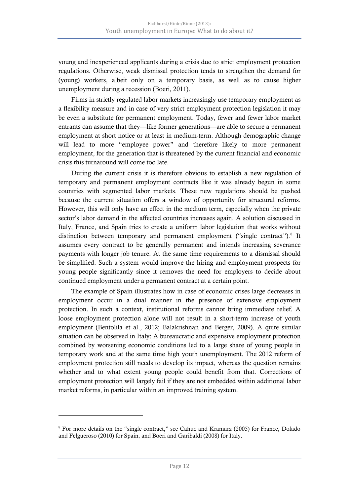young and inexperienced applicants during a crisis due to strict employment protection regulations. Otherwise, weak dismissal protection tends to strengthen the demand for (young) workers, albeit only on a temporary basis, as well as to cause higher unemployment during a recession (Boeri, 2011).

Firms in strictly regulated labor markets increasingly use temporary employment as a flexibility measure and in case of very strict employment protection legislation it may be even a substitute for permanent employment. Today, fewer and fewer labor market entrants can assume that they—like former generations—are able to secure a permanent employment at short notice or at least in medium-term. Although demographic change will lead to more "employee power" and therefore likely to more permanent employment, for the generation that is threatened by the current financial and economic crisis this turnaround will come too late.

During the current crisis it is therefore obvious to establish a new regulation of temporary and permanent employment contracts like it was already begun in some countries with segmented labor markets. These new regulations should be pushed because the current situation offers a window of opportunity for structural reforms. However, this will only have an effect in the medium term, especially when the private sector's labor demand in the affected countries increases again. A solution discussed in Italy, France, and Spain tries to create a uniform labor legislation that works without distinction between temporary and permanent employment ("single contract").<sup>[8](#page-13-0)</sup> It assumes every contract to be generally permanent and intends increasing severance payments with longer job tenure. At the same time requirements to a dismissal should be simplified. Such a system would improve the hiring and employment prospects for young people significantly since it removes the need for employers to decide about continued employment under a permanent contract at a certain point.

The example of Spain illustrates how in case of economic crises large decreases in employment occur in a dual manner in the presence of extensive employment protection. In such a context, institutional reforms cannot bring immediate relief. A loose employment protection alone will not result in a short-term increase of youth employment (Bentolila et al., 2012; Balakrishnan and Berger, 2009). A quite similar situation can be observed in Italy: A bureaucratic and expensive employment protection combined by worsening economic conditions led to a large share of young people in temporary work and at the same time high youth unemployment. The 2012 reform of employment protection still needs to develop its impact, whereas the question remains whether and to what extent young people could benefit from that. Corrections of employment protection will largely fail if they are not embedded within additional labor market reforms, in particular within an improved training system.

<span id="page-14-0"></span><sup>8</sup> For more details on the "single contract," see Cahuc and Kramarz (2005) for France, Dolado and Felgueroso (2010) for Spain, and Boeri and Garibaldi (2008) for Italy.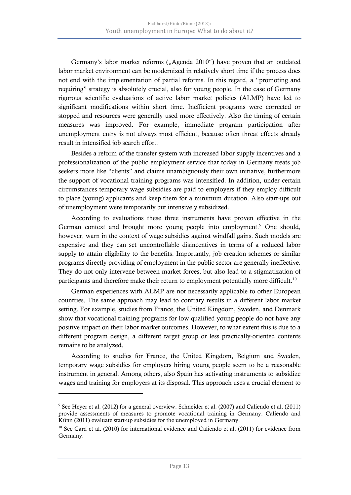Germany's labor market reforms ("Agenda 2010") have proven that an outdated labor market environment can be modernized in relatively short time if the process does not end with the implementation of partial reforms. In this regard, a "promoting and requiring" strategy is absolutely crucial, also for young people. In the case of Germany rigorous scientific evaluations of active labor market policies (ALMP) have led to significant modifications within short time. Inefficient programs were corrected or stopped and resources were generally used more effectively. Also the timing of certain measures was improved. For example, immediate program participation after unemployment entry is not always most efficient, because often threat effects already result in intensified job search effort.

Besides a reform of the transfer system with increased labor supply incentives and a professionalization of the public employment service that today in Germany treats job seekers more like "clients" and claims unambiguously their own initiative, furthermore the support of vocational training programs was intensified. In addition, under certain circumstances temporary wage subsidies are paid to employers if they employ difficult to place (young) applicants and keep them for a minimum duration. Also start-ups out of unemployment were temporarily but intensively subsidized.

According to evaluations these three instruments have proven effective in the German context and brought more young people into employment.<sup>[9](#page-14-0)</sup> One should, however, warn in the context of wage subsidies against windfall gains. Such models are expensive and they can set uncontrollable disincentives in terms of a reduced labor supply to attain eligibility to the benefits. Importantly, job creation schemes or similar programs directly providing of employment in the public sector are generally ineffective. They do not only intervene between market forces, but also lead to a stigmatization of participants and therefore make their return to employment potentially more difficult.<sup>[10](#page-15-0)</sup>

German experiences with ALMP are not necessarily applicable to other European countries. The same approach may lead to contrary results in a different labor market setting. For example, studies from France, the United Kingdom, Sweden, and Denmark show that vocational training programs for low qualified young people do not have any positive impact on their labor market outcomes. However, to what extent this is due to a different program design, a different target group or less practically-oriented contents remains to be analyzed.

According to studies for France, the United Kingdom, Belgium and Sweden, temporary wage subsidies for employers hiring young people seem to be a reasonable instrument in general. Among others, also Spain has activating instruments to subsidize wages and training for employers at its disposal. This approach uses a crucial element to

<sup>9</sup> See Heyer et al. (2012) for a general overview. Schneider et al. (2007) and Caliendo et al. (2011) provide assessments of measures to promote vocational training in Germany. Caliendo and Künn (2011) evaluate start-up subsidies for the unemployed in Germany.

<span id="page-15-1"></span><span id="page-15-0"></span><sup>&</sup>lt;sup>10</sup> See Card et al. (2010) for international evidence and Caliendo et al. (2011) for evidence from Germany.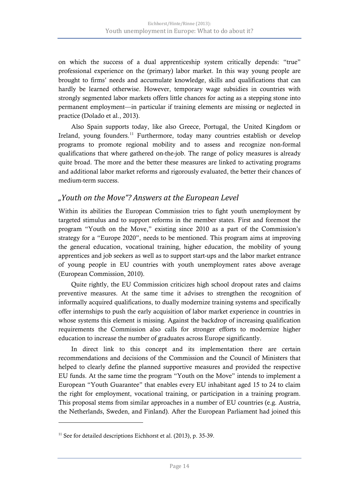on which the success of a dual apprenticeship system critically depends: "true" professional experience on the (primary) labor market. In this way young people are brought to firms' needs and accumulate knowledge, skills and qualifications that can hardly be learned otherwise. However, temporary wage subsidies in countries with strongly segmented labor markets offers little chances for acting as a stepping stone into permanent employment—in particular if training elements are missing or neglected in practice (Dolado et al., 2013).

Also Spain supports today, like also Greece, Portugal, the United Kingdom or Ireland, young founders.<sup>[11](#page-15-1)</sup> Furthermore, today many countries establish or develop programs to promote regional mobility and to assess and recognize non-formal qualifications that where gathered on-the-job. The range of policy measures is already quite broad. The more and the better these measures are linked to activating programs and additional labor market reforms and rigorously evaluated, the better their chances of medium-term success.

### *"Youth on the Move"? Answers at the European Level*

Within its abilities the European Commission tries to fight youth unemployment by targeted stimulus and to support reforms in the member states. First and foremost the program "Youth on the Move," existing since 2010 as a part of the Commission's strategy for a "Europe 2020", needs to be mentioned. This program aims at improving the general education, vocational training, higher education, the mobility of young apprentices and job seekers as well as to support start-ups and the labor market entrance of young people in EU countries with youth unemployment rates above average (European Commission, 2010).

Quite rightly, the EU Commission criticizes high school dropout rates and claims preventive measures. At the same time it advises to strengthen the recognition of informally acquired qualifications, to dually modernize training systems and specifically offer internships to push the early acquisition of labor market experience in countries in whose systems this element is missing. Against the backdrop of increasing qualification requirements the Commission also calls for stronger efforts to modernize higher education to increase the number of graduates across Europe significantly.

In direct link to this concept and its implementation there are certain recommendations and decisions of the Commission and the Council of Ministers that helped to clearly define the planned supportive measures and provided the respective EU funds. At the same time the program "Youth on the Move" intends to implement a European "Youth Guarantee" that enables every EU inhabitant aged 15 to 24 to claim the right for employment, vocational training, or participation in a training program. This proposal stems from similar approaches in a number of EU countries (e.g. Austria, the Netherlands, Sweden, and Finland). After the European Parliament had joined this

 $11$  See for detailed descriptions Eichhorst et al. (2013), p. 35-39.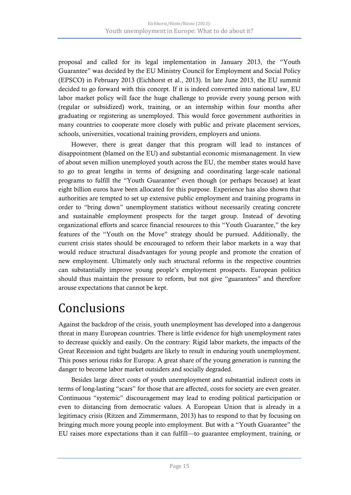proposal and called for its legal implementation in January 2013, the "Youth Guarantee" was decided by the EU Ministry Council for Employment and Social Policy (EPSCO) in February 2013 (Eichhorst et al., 2013). In late June 2013, the EU summit decided to go forward with this concept. If it is indeed converted into national law, EU labor market policy will face the huge challenge to provide every young person with (regular or subsidized) work, training, or an internship within four months after graduating or registering as unemployed. This would force government authorities in many countries to cooperate more closely with public and private placement services, schools, universities, vocational training providers, employers and unions.

However, there is great danger that this program will lead to instances of disappointment (blamed on the EU) and substantial economic mismanagement. In view of about seven million unemployed youth across the EU, the member states would have to go to great lengths in terms of designing and coordinating large-scale national programs to fulfill the "Youth Guarantee" even though (or perhaps because) at least eight billion euros have been allocated for this purpose. Experience has also shown that authorities are tempted to set up extensive public employment and training programs in order to "bring down" unemployment statistics without necessarily creating concrete and sustainable employment prospects for the target group. Instead of devoting organizational efforts and scarce financial resources to this "Youth Guarantee," the key features of the "Youth on the Move" strategy should be pursued. Additionally, the current crisis states should be encouraged to reform their labor markets in a way that would reduce structural disadvantages for young people and promote the creation of new employment. Ultimately only such structural reforms in the respective countries can substantially improve young people's employment prospects. European politics should thus maintain the pressure to reform, but not give "guarantees" and therefore arouse expectations that cannot be kept.

# Conclusions

Against the backdrop of the crisis, youth unemployment has developed into a dangerous threat in many European countries. There is little evidence for high unemployment rates to decrease quickly and easily. On the contrary: Rigid labor markets, the impacts of the Great Recession and tight budgets are likely to result in enduring youth unemployment. This poses serious risks for Europa: A great share of the young generation is running the danger to become labor market outsiders and socially degraded.

Besides large direct costs of youth unemployment and substantial indirect costs in terms of long-lasting "scars" for those that are affected, costs for society are even greater. Continuous "systemic" discouragement may lead to eroding political participation or even to distancing from democratic values. A European Union that is already in a legitimacy crisis (Ritzen and Zimmermann, 2013) has to respond to that by focusing on bringing much more young people into employment. But with a "Youth Guarantee" the EU raises more expectations than it can fulfill—to guarantee employment, training, or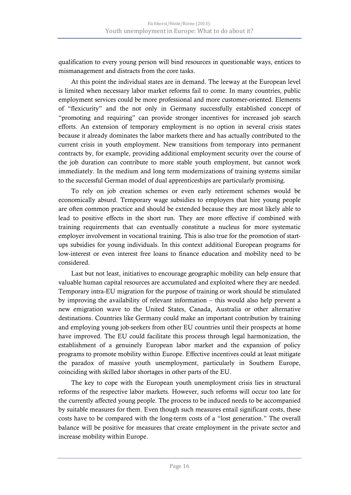qualification to every young person will bind resources in questionable ways, entices to mismanagement and distracts from the core tasks.

At this point the individual states are in demand. The leeway at the European level is limited when necessary labor market reforms fail to come. In many countries, public employment services could be more professional and more customer-oriented. Elements of "flexicurity" and the not only in Germany successfully established concept of "promoting and requiring" can provide stronger incentives for increased job search efforts. An extension of temporary employment is no option in several crisis states because it already dominates the labor markets there and has actually contributed to the current crisis in youth employment. New transitions from temporary into permanent contracts by, for example, providing additional employment security over the course of the job duration can contribute to more stable youth employment, but cannot work immediately. In the medium and long term modernizations of training systems similar to the successful German model of dual apprenticeships are particularly promising.

To rely on job creation schemes or even early retirement schemes would be economically absurd. Temporary wage subsidies to employers that hire young people are often common practice and should be extended because they are most likely able to lead to positive effects in the short run. They are more effective if combined with training requirements that can eventually constitute a nucleus for more systematic employer involvement in vocational training. This is also true for the promotion of startups subsidies for young individuals. In this context additional European programs for low-interest or even interest free loans to finance education and mobility need to be considered.

Last but not least, initiatives to encourage geographic mobility can help ensure that valuable human capital resources are accumulated and exploited where they are needed. Temporary intra-EU migration for the purpose of training or work should be stimulated by improving the availability of relevant information – this would also help prevent a new emigration wave to the United States, Canada, Australia or other alternative destinations. Countries like Germany could make an important contribution by training and employing young job-seekers from other EU countries until their prospects at home have improved. The EU could facilitate this process through legal harmonization, the establishment of a genuinely European labor market and the expansion of policy programs to promote mobility within Europe. Effective incentives could at least mitigate the paradox of massive youth unemployment, particularly in Southern Europe, coinciding with skilled labor shortages in other parts of the EU.

The key to cope with the European youth unemployment crisis lies in structural reforms of the respective labor markets. However, such reforms will occur too late for the currently affected young people. The process to be induced needs to be accompanied by suitable measures for them. Even though such measures entail significant costs, these costs have to be compared with the long-term costs of a "lost generation." The overall balance will be positive for measures that create employment in the private sector and increase mobility within Europe.